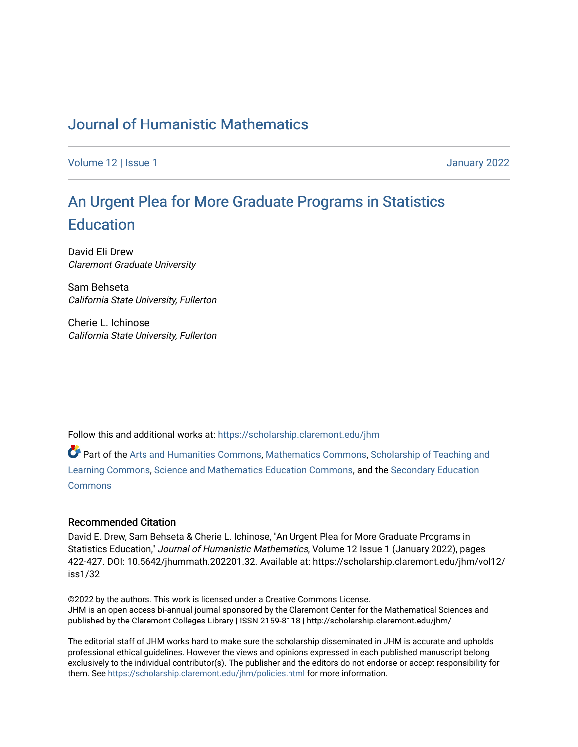## [Journal of Humanistic Mathematics](https://scholarship.claremont.edu/jhm)

[Volume 12](https://scholarship.claremont.edu/jhm/vol12) | Issue 1 January 2022

# An Ur[gent Plea for More Graduate Pr](https://scholarship.claremont.edu/jhm/vol12/iss1/32)ograms in Statistics **Education**

David Eli Drew Claremont Graduate University

Sam Behseta California State University, Fullerton

Cherie L. Ichinose California State University, Fullerton

Follow this and additional works at: [https://scholarship.claremont.edu/jhm](https://scholarship.claremont.edu/jhm?utm_source=scholarship.claremont.edu%2Fjhm%2Fvol12%2Fiss1%2F32&utm_medium=PDF&utm_campaign=PDFCoverPages)

Part of the [Arts and Humanities Commons,](http://network.bepress.com/hgg/discipline/438?utm_source=scholarship.claremont.edu%2Fjhm%2Fvol12%2Fiss1%2F32&utm_medium=PDF&utm_campaign=PDFCoverPages) [Mathematics Commons](http://network.bepress.com/hgg/discipline/174?utm_source=scholarship.claremont.edu%2Fjhm%2Fvol12%2Fiss1%2F32&utm_medium=PDF&utm_campaign=PDFCoverPages), [Scholarship of Teaching and](http://network.bepress.com/hgg/discipline/1328?utm_source=scholarship.claremont.edu%2Fjhm%2Fvol12%2Fiss1%2F32&utm_medium=PDF&utm_campaign=PDFCoverPages)  [Learning Commons](http://network.bepress.com/hgg/discipline/1328?utm_source=scholarship.claremont.edu%2Fjhm%2Fvol12%2Fiss1%2F32&utm_medium=PDF&utm_campaign=PDFCoverPages), [Science and Mathematics Education Commons](http://network.bepress.com/hgg/discipline/800?utm_source=scholarship.claremont.edu%2Fjhm%2Fvol12%2Fiss1%2F32&utm_medium=PDF&utm_campaign=PDFCoverPages), and the [Secondary Education](http://network.bepress.com/hgg/discipline/1382?utm_source=scholarship.claremont.edu%2Fjhm%2Fvol12%2Fiss1%2F32&utm_medium=PDF&utm_campaign=PDFCoverPages)  [Commons](http://network.bepress.com/hgg/discipline/1382?utm_source=scholarship.claremont.edu%2Fjhm%2Fvol12%2Fiss1%2F32&utm_medium=PDF&utm_campaign=PDFCoverPages)

#### Recommended Citation

David E. Drew, Sam Behseta & Cherie L. Ichinose, "An Urgent Plea for More Graduate Programs in Statistics Education," Journal of Humanistic Mathematics, Volume 12 Issue 1 (January 2022), pages 422-427. DOI: 10.5642/jhummath.202201.32. Available at: https://scholarship.claremont.edu/jhm/vol12/ iss1/32

©2022 by the authors. This work is licensed under a Creative Commons License. JHM is an open access bi-annual journal sponsored by the Claremont Center for the Mathematical Sciences and published by the Claremont Colleges Library | ISSN 2159-8118 | http://scholarship.claremont.edu/jhm/

The editorial staff of JHM works hard to make sure the scholarship disseminated in JHM is accurate and upholds professional ethical guidelines. However the views and opinions expressed in each published manuscript belong exclusively to the individual contributor(s). The publisher and the editors do not endorse or accept responsibility for them. See<https://scholarship.claremont.edu/jhm/policies.html> for more information.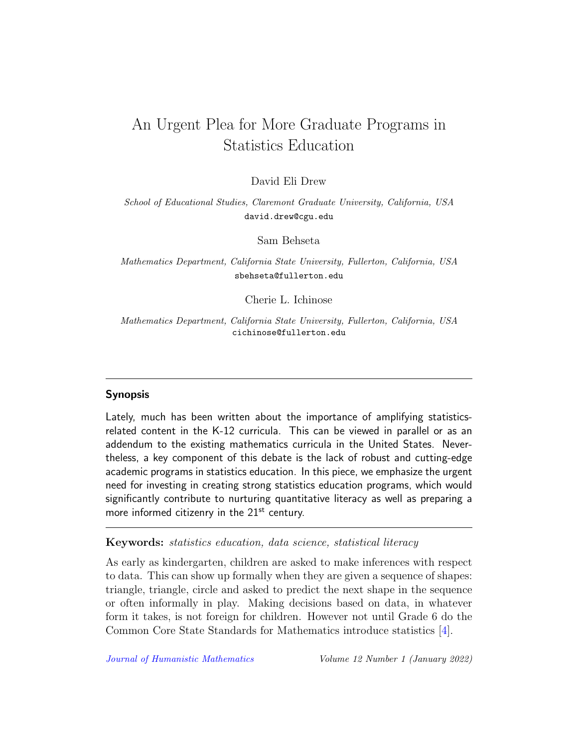## An Urgent Plea for More Graduate Programs in Statistics Education

## David Eli Drew

School of Educational Studies, Claremont Graduate University, California, USA david.drew@cgu.edu

Sam Behseta

Mathematics Department, California State University, Fullerton, California, USA sbehseta@fullerton.edu

Cherie L. Ichinose

Mathematics Department, California State University, Fullerton, California, USA cichinose@fullerton.edu

#### Synopsis

Lately, much has been written about the importance of amplifying statisticsrelated content in the K-12 curricula. This can be viewed in parallel or as an addendum to the existing mathematics curricula in the United States. Nevertheless, a key component of this debate is the lack of robust and cutting-edge academic programs in statistics education. In this piece, we emphasize the urgent need for investing in creating strong statistics education programs, which would significantly contribute to nurturing quantitative literacy as well as preparing a more informed citizenry in the  $21<sup>st</sup>$  century.

#### Keywords: statistics education, data science, statistical literacy

As early as kindergarten, children are asked to make inferences with respect to data. This can show up formally when they are given a sequence of shapes: triangle, triangle, circle and asked to predict the next shape in the sequence or often informally in play. Making decisions based on data, in whatever form it takes, is not foreign for children. However not until Grade 6 do the Common Core State Standards for Mathematics introduce statistics [\[4\]](#page-6-0).

[Journal of Humanistic Mathematics](http://scholarship.claremont.edu/jhm/) Volume 12 Number 1 (January 2022)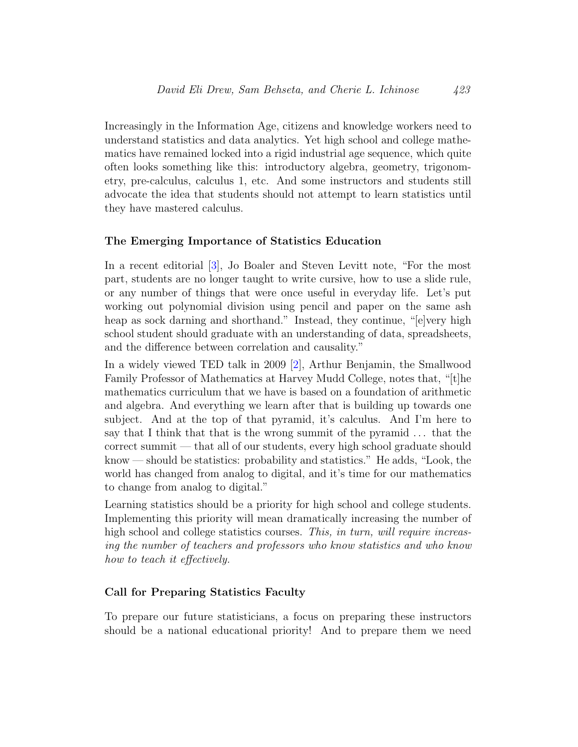Increasingly in the Information Age, citizens and knowledge workers need to understand statistics and data analytics. Yet high school and college mathematics have remained locked into a rigid industrial age sequence, which quite often looks something like this: introductory algebra, geometry, trigonometry, pre-calculus, calculus 1, etc. And some instructors and students still advocate the idea that students should not attempt to learn statistics until they have mastered calculus.

#### The Emerging Importance of Statistics Education

In a recent editorial [\[3\]](#page-6-1), Jo Boaler and Steven Levitt note, "For the most part, students are no longer taught to write cursive, how to use a slide rule, or any number of things that were once useful in everyday life. Let's put working out polynomial division using pencil and paper on the same ash heap as sock darning and shorthand." Instead, they continue, "[e]very high school student should graduate with an understanding of data, spreadsheets, and the difference between correlation and causality."

In a widely viewed TED talk in 2009 [\[2\]](#page-5-0), Arthur Benjamin, the Smallwood Family Professor of Mathematics at Harvey Mudd College, notes that, "[t]he mathematics curriculum that we have is based on a foundation of arithmetic and algebra. And everything we learn after that is building up towards one subject. And at the top of that pyramid, it's calculus. And I'm here to say that I think that that is the wrong summit of the pyramid . . . that the correct summit — that all of our students, every high school graduate should know — should be statistics: probability and statistics." He adds, "Look, the world has changed from analog to digital, and it's time for our mathematics to change from analog to digital."

Learning statistics should be a priority for high school and college students. Implementing this priority will mean dramatically increasing the number of high school and college statistics courses. This, in turn, will require increasing the number of teachers and professors who know statistics and who know how to teach it effectively.

#### Call for Preparing Statistics Faculty

To prepare our future statisticians, a focus on preparing these instructors should be a national educational priority! And to prepare them we need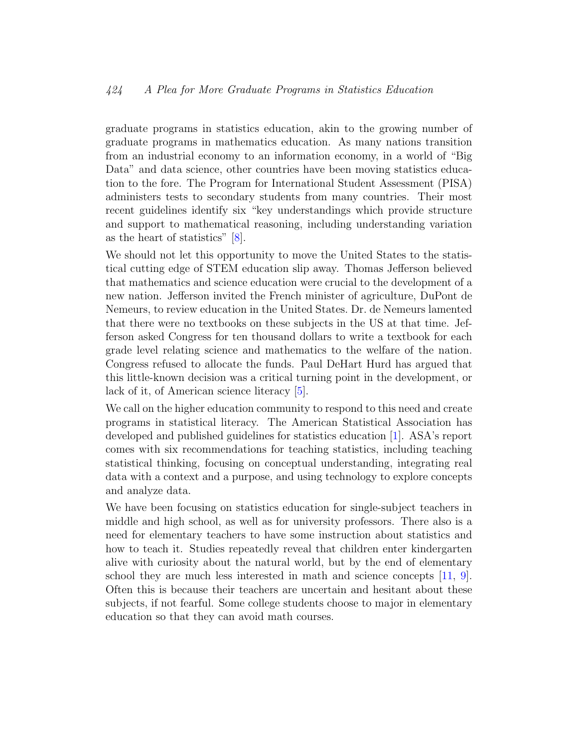## 424 A Plea for More Graduate Programs in Statistics Education

graduate programs in statistics education, akin to the growing number of graduate programs in mathematics education. As many nations transition from an industrial economy to an information economy, in a world of "Big Data" and data science, other countries have been moving statistics education to the fore. The Program for International Student Assessment (PISA) administers tests to secondary students from many countries. Their most recent guidelines identify six "key understandings which provide structure and support to mathematical reasoning, including understanding variation as the heart of statistics" [\[8\]](#page-6-2).

We should not let this opportunity to move the United States to the statistical cutting edge of STEM education slip away. Thomas Jefferson believed that mathematics and science education were crucial to the development of a new nation. Jefferson invited the French minister of agriculture, DuPont de Nemeurs, to review education in the United States. Dr. de Nemeurs lamented that there were no textbooks on these subjects in the US at that time. Jefferson asked Congress for ten thousand dollars to write a textbook for each grade level relating science and mathematics to the welfare of the nation. Congress refused to allocate the funds. Paul DeHart Hurd has argued that this little-known decision was a critical turning point in the development, or lack of it, of American science literacy [\[5\]](#page-6-3).

We call on the higher education community to respond to this need and create programs in statistical literacy. The American Statistical Association has developed and published guidelines for statistics education [\[1\]](#page-5-1). ASA's report comes with six recommendations for teaching statistics, including teaching statistical thinking, focusing on conceptual understanding, integrating real data with a context and a purpose, and using technology to explore concepts and analyze data.

We have been focusing on statistics education for single-subject teachers in middle and high school, as well as for university professors. There also is a need for elementary teachers to have some instruction about statistics and how to teach it. Studies repeatedly reveal that children enter kindergarten alive with curiosity about the natural world, but by the end of elementary school they are much less interested in math and science concepts [\[11,](#page-6-4) [9\]](#page-6-5). Often this is because their teachers are uncertain and hesitant about these subjects, if not fearful. Some college students choose to major in elementary education so that they can avoid math courses.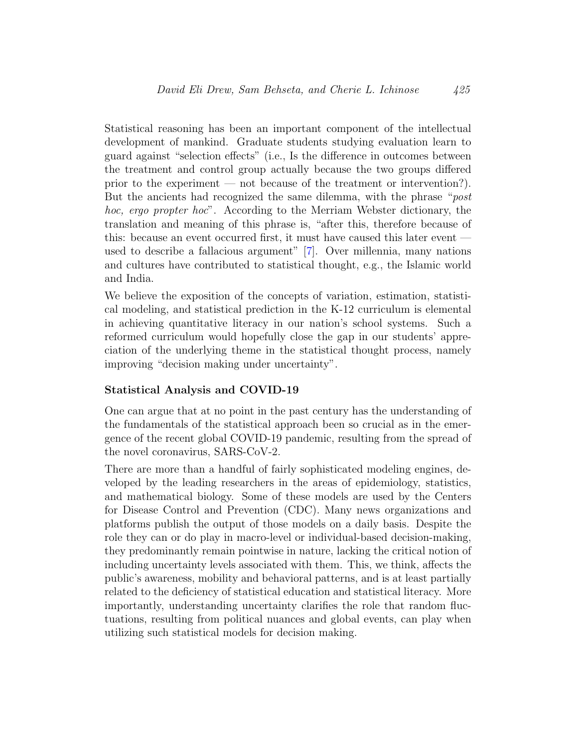Statistical reasoning has been an important component of the intellectual development of mankind. Graduate students studying evaluation learn to guard against "selection effects" (i.e., Is the difference in outcomes between the treatment and control group actually because the two groups differed prior to the experiment — not because of the treatment or intervention?). But the ancients had recognized the same dilemma, with the phrase "post hoc, ergo propter hoc". According to the Merriam Webster dictionary, the translation and meaning of this phrase is, "after this, therefore because of this: because an event occurred first, it must have caused this later event used to describe a fallacious argument" [\[7\]](#page-6-6). Over millennia, many nations and cultures have contributed to statistical thought, e.g., the Islamic world and India.

We believe the exposition of the concepts of variation, estimation, statistical modeling, and statistical prediction in the K-12 curriculum is elemental in achieving quantitative literacy in our nation's school systems. Such a reformed curriculum would hopefully close the gap in our students' appreciation of the underlying theme in the statistical thought process, namely improving "decision making under uncertainty".

#### Statistical Analysis and COVID-19

One can argue that at no point in the past century has the understanding of the fundamentals of the statistical approach been so crucial as in the emergence of the recent global COVID-19 pandemic, resulting from the spread of the novel coronavirus, SARS-CoV-2.

There are more than a handful of fairly sophisticated modeling engines, developed by the leading researchers in the areas of epidemiology, statistics, and mathematical biology. Some of these models are used by the Centers for Disease Control and Prevention (CDC). Many news organizations and platforms publish the output of those models on a daily basis. Despite the role they can or do play in macro-level or individual-based decision-making, they predominantly remain pointwise in nature, lacking the critical notion of including uncertainty levels associated with them. This, we think, affects the public's awareness, mobility and behavioral patterns, and is at least partially related to the deficiency of statistical education and statistical literacy. More importantly, understanding uncertainty clarifies the role that random fluctuations, resulting from political nuances and global events, can play when utilizing such statistical models for decision making.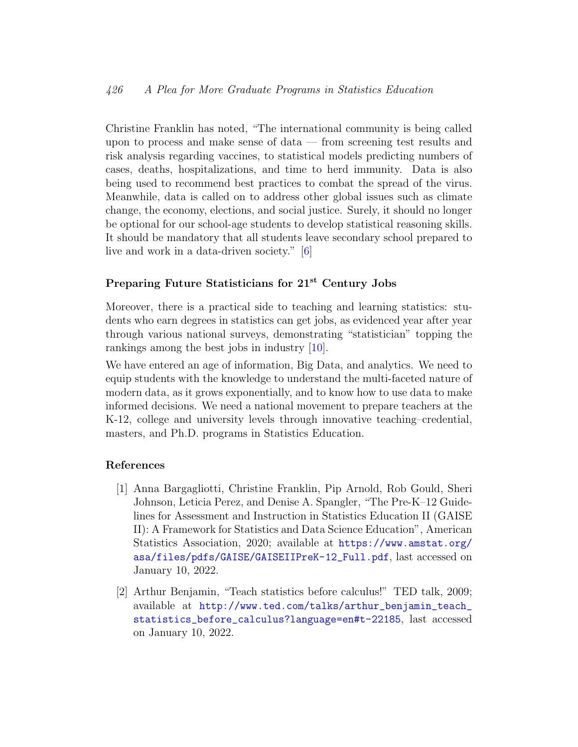## 426 A Plea for More Graduate Programs in Statistics Education

Christine Franklin has noted, "The international community is being called upon to process and make sense of data — from screening test results and risk analysis regarding vaccines, to statistical models predicting numbers of cases, deaths, hospitalizations, and time to herd immunity. Data is also being used to recommend best practices to combat the spread of the virus. Meanwhile, data is called on to address other global issues such as climate change, the economy, elections, and social justice. Surely, it should no longer be optional for our school-age students to develop statistical reasoning skills. It should be mandatory that all students leave secondary school prepared to live and work in a data-driven society." [\[6\]](#page-6-7)

## Preparing Future Statisticians for 21<sup>st</sup> Century Jobs

Moreover, there is a practical side to teaching and learning statistics: students who earn degrees in statistics can get jobs, as evidenced year after year through various national surveys, demonstrating "statistician" topping the rankings among the best jobs in industry [\[10\]](#page-6-8).

We have entered an age of information, Big Data, and analytics. We need to equip students with the knowledge to understand the multi-faceted nature of modern data, as it grows exponentially, and to know how to use data to make informed decisions. We need a national movement to prepare teachers at the K-12, college and university levels through innovative teaching–credential, masters, and Ph.D. programs in Statistics Education.

## References

- <span id="page-5-1"></span>[1] Anna Bargagliotti, Christine Franklin, Pip Arnold, Rob Gould, Sheri Johnson, Leticia Perez, and Denise A. Spangler, "The Pre-K–12 Guidelines for Assessment and Instruction in Statistics Education II (GAISE II): A Framework for Statistics and Data Science Education", American Statistics Association, 2020; available at [https://www.amstat.org/](https://www.amstat.org/asa/files/pdfs/GAISE/GAISEIIPreK-12_Full.pdf) [asa/files/pdfs/GAISE/GAISEIIPreK-12\\_Full.pdf](https://www.amstat.org/asa/files/pdfs/GAISE/GAISEIIPreK-12_Full.pdf), last accessed on January 10, 2022.
- <span id="page-5-0"></span>[2] Arthur Benjamin, "Teach statistics before calculus!" TED talk, 2009; available at [http://www.ted.com/talks/arthur\\_benjamin\\_teach\\_](http://www.ted.com/talks/arthur_benjamin_teach_statistics_before_calculus?language=en#t-22185) [statistics\\_before\\_calculus?language=en#t-22185](http://www.ted.com/talks/arthur_benjamin_teach_statistics_before_calculus?language=en#t-22185), last accessed on January 10, 2022.